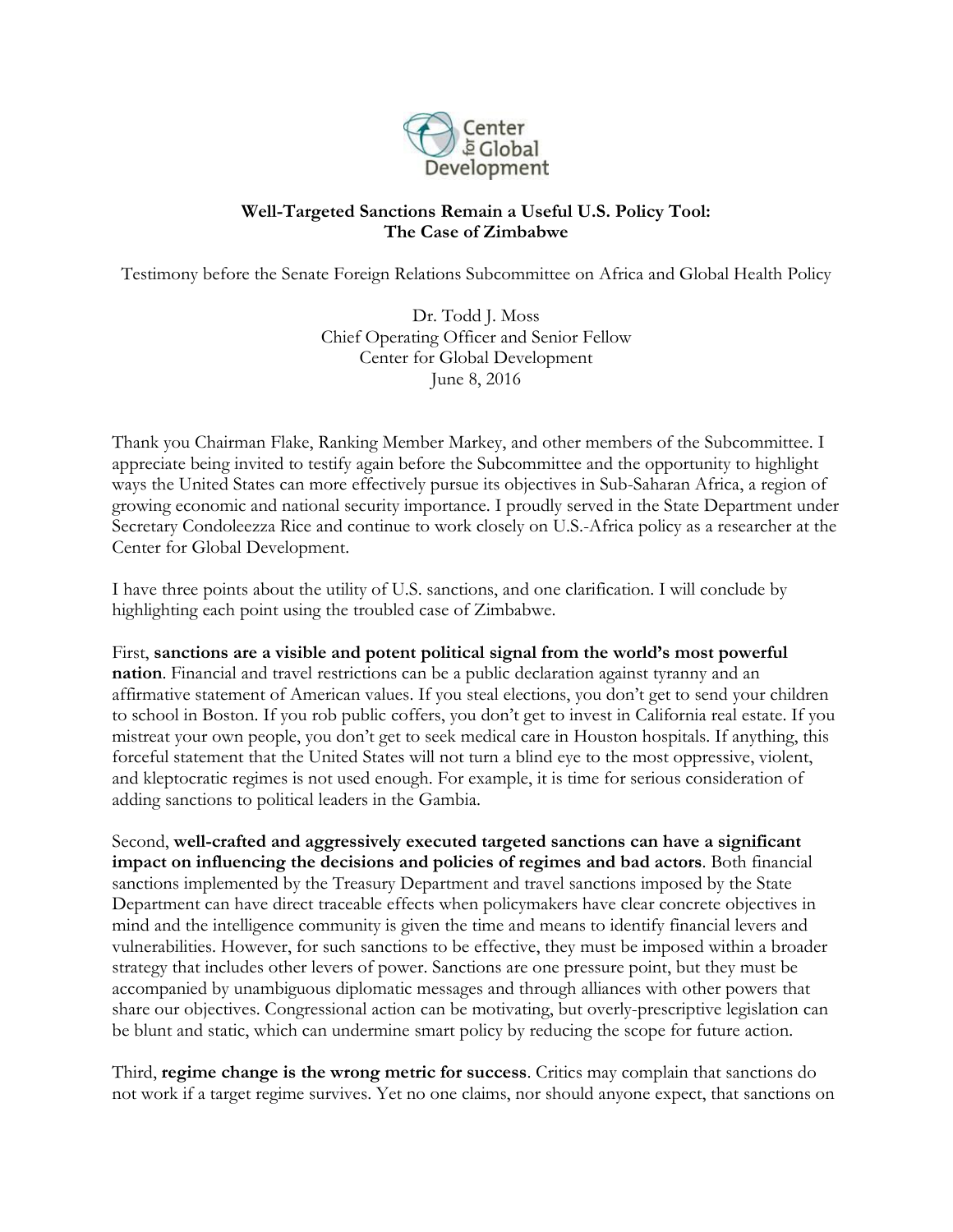

## **Well-Targeted Sanctions Remain a Useful U.S. Policy Tool: The Case of Zimbabwe**

Testimony before the Senate Foreign Relations Subcommittee on Africa and Global Health Policy

Dr. Todd J. Moss Chief Operating Officer and Senior Fellow Center for Global Development June 8, 2016

Thank you Chairman Flake, Ranking Member Markey, and other members of the Subcommittee. I appreciate being invited to testify again before the Subcommittee and the opportunity to highlight ways the United States can more effectively pursue its objectives in Sub-Saharan Africa, a region of growing economic and national security importance. I proudly served in the State Department under Secretary Condoleezza Rice and continue to work closely on U.S.-Africa policy as a researcher at the Center for Global Development.

I have three points about the utility of U.S. sanctions, and one clarification. I will conclude by highlighting each point using the troubled case of Zimbabwe.

First, **sanctions are a visible and potent political signal from the world's most powerful nation**. Financial and travel restrictions can be a public declaration against tyranny and an affirmative statement of American values. If you steal elections, you don't get to send your children to school in Boston. If you rob public coffers, you don't get to invest in California real estate. If you mistreat your own people, you don't get to seek medical care in Houston hospitals. If anything, this forceful statement that the United States will not turn a blind eye to the most oppressive, violent, and kleptocratic regimes is not used enough. For example, it is time for serious consideration of adding sanctions to political leaders in the Gambia.

Second, **well-crafted and aggressively executed targeted sanctions can have a significant impact on influencing the decisions and policies of regimes and bad actors**. Both financial sanctions implemented by the Treasury Department and travel sanctions imposed by the State Department can have direct traceable effects when policymakers have clear concrete objectives in mind and the intelligence community is given the time and means to identify financial levers and vulnerabilities. However, for such sanctions to be effective, they must be imposed within a broader strategy that includes other levers of power. Sanctions are one pressure point, but they must be accompanied by unambiguous diplomatic messages and through alliances with other powers that share our objectives. Congressional action can be motivating, but overly-prescriptive legislation can be blunt and static, which can undermine smart policy by reducing the scope for future action.

Third, **regime change is the wrong metric for success**. Critics may complain that sanctions do not work if a target regime survives. Yet no one claims, nor should anyone expect, that sanctions on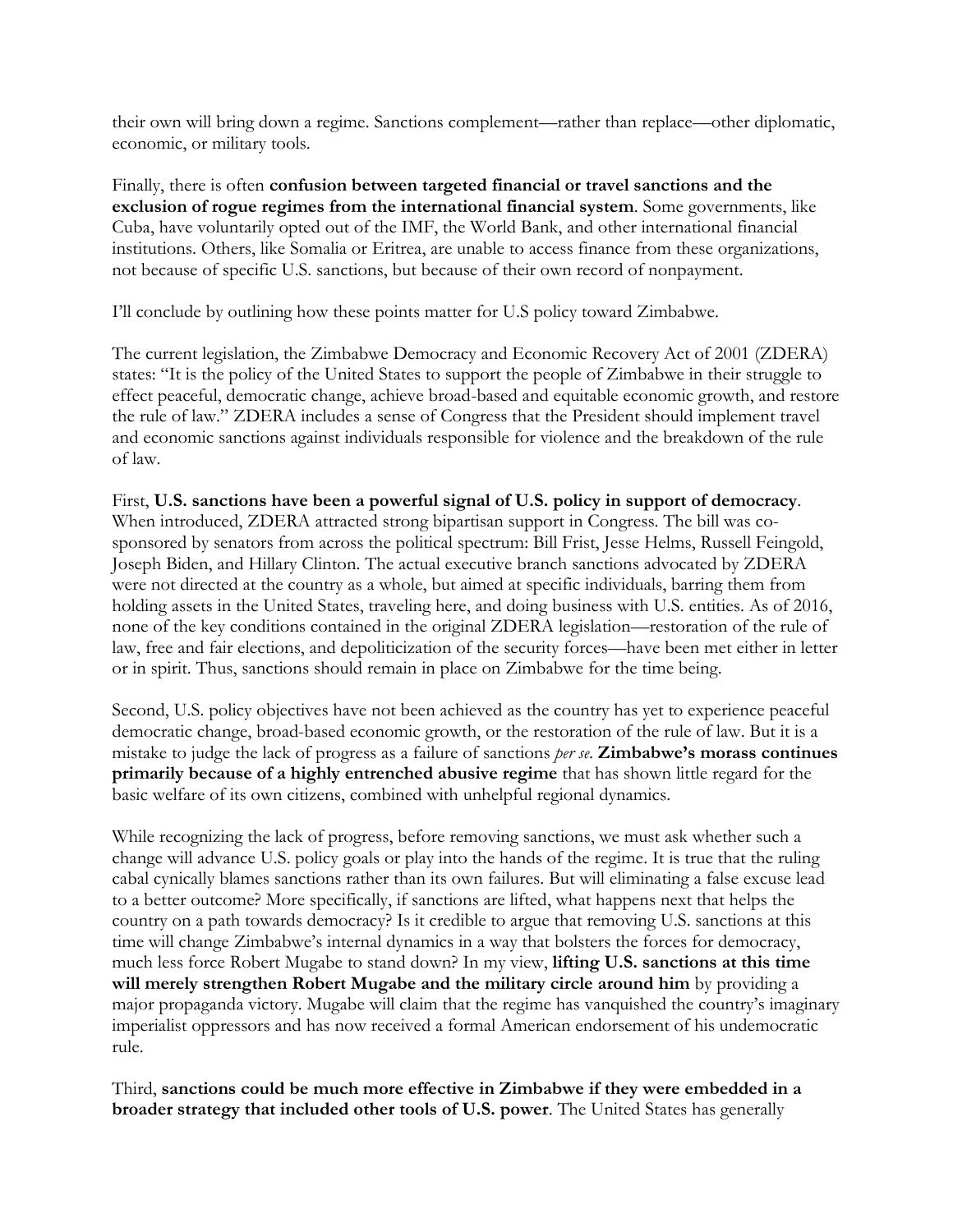their own will bring down a regime. Sanctions complement—rather than replace—other diplomatic, economic, or military tools.

Finally, there is often **confusion between targeted financial or travel sanctions and the exclusion of rogue regimes from the international financial system**. Some governments, like Cuba, have voluntarily opted out of the IMF, the World Bank, and other international financial institutions. Others, like Somalia or Eritrea, are unable to access finance from these organizations, not because of specific U.S. sanctions, but because of their own record of nonpayment.

I'll conclude by outlining how these points matter for U.S policy toward Zimbabwe.

The current legislation, the Zimbabwe Democracy and Economic Recovery Act of 2001 (ZDERA) states: "It is the policy of the United States to support the people of Zimbabwe in their struggle to effect peaceful, democratic change, achieve broad-based and equitable economic growth, and restore the rule of law." ZDERA includes a sense of Congress that the President should implement travel and economic sanctions against individuals responsible for violence and the breakdown of the rule of law.

First, **U.S. sanctions have been a powerful signal of U.S. policy in support of democracy**. When introduced, ZDERA attracted strong bipartisan support in Congress. The bill was cosponsored by senators from across the political spectrum: Bill Frist, Jesse Helms, Russell Feingold, Joseph Biden, and Hillary Clinton. The actual executive branch sanctions advocated by ZDERA were not directed at the country as a whole, but aimed at specific individuals, barring them from holding assets in the United States, traveling here, and doing business with U.S. entities. As of 2016, none of the key conditions contained in the original ZDERA legislation—restoration of the rule of law, free and fair elections, and depoliticization of the security forces—have been met either in letter or in spirit. Thus, sanctions should remain in place on Zimbabwe for the time being.

Second, U.S. policy objectives have not been achieved as the country has yet to experience peaceful democratic change, broad-based economic growth, or the restoration of the rule of law. But it is a mistake to judge the lack of progress as a failure of sanctions *per se*. **Zimbabwe's morass continues primarily because of a highly entrenched abusive regime** that has shown little regard for the basic welfare of its own citizens, combined with unhelpful regional dynamics.

While recognizing the lack of progress, before removing sanctions, we must ask whether such a change will advance U.S. policy goals or play into the hands of the regime. It is true that the ruling cabal cynically blames sanctions rather than its own failures. But will eliminating a false excuse lead to a better outcome? More specifically, if sanctions are lifted, what happens next that helps the country on a path towards democracy? Is it credible to argue that removing U.S. sanctions at this time will change Zimbabwe's internal dynamics in a way that bolsters the forces for democracy, much less force Robert Mugabe to stand down? In my view, **lifting U.S. sanctions at this time will merely strengthen Robert Mugabe and the military circle around him** by providing a major propaganda victory. Mugabe will claim that the regime has vanquished the country's imaginary imperialist oppressors and has now received a formal American endorsement of his undemocratic rule.

Third, **sanctions could be much more effective in Zimbabwe if they were embedded in a broader strategy that included other tools of U.S. power**. The United States has generally